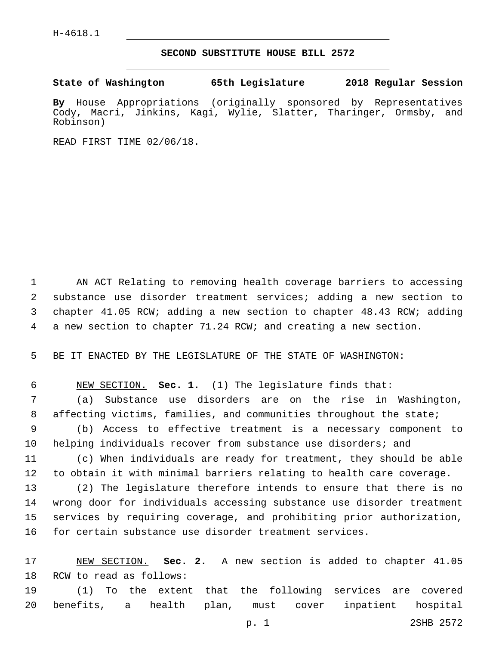## **SECOND SUBSTITUTE HOUSE BILL 2572**

**State of Washington 65th Legislature 2018 Regular Session**

**By** House Appropriations (originally sponsored by Representatives Cody, Macri, Jinkins, Kagi, Wylie, Slatter, Tharinger, Ormsby, and Robinson)

READ FIRST TIME 02/06/18.

 AN ACT Relating to removing health coverage barriers to accessing substance use disorder treatment services; adding a new section to chapter 41.05 RCW; adding a new section to chapter 48.43 RCW; adding a new section to chapter 71.24 RCW; and creating a new section.

BE IT ENACTED BY THE LEGISLATURE OF THE STATE OF WASHINGTON:

 NEW SECTION. **Sec. 1.** (1) The legislature finds that: (a) Substance use disorders are on the rise in Washington, affecting victims, families, and communities throughout the state; (b) Access to effective treatment is a necessary component to

10 helping individuals recover from substance use disorders; and

 (c) When individuals are ready for treatment, they should be able to obtain it with minimal barriers relating to health care coverage.

 (2) The legislature therefore intends to ensure that there is no wrong door for individuals accessing substance use disorder treatment services by requiring coverage, and prohibiting prior authorization, for certain substance use disorder treatment services.

 NEW SECTION. **Sec. 2.** A new section is added to chapter 41.05 18 RCW to read as follows:

 (1) To the extent that the following services are covered benefits, a health plan, must cover inpatient hospital

p. 1 2SHB 2572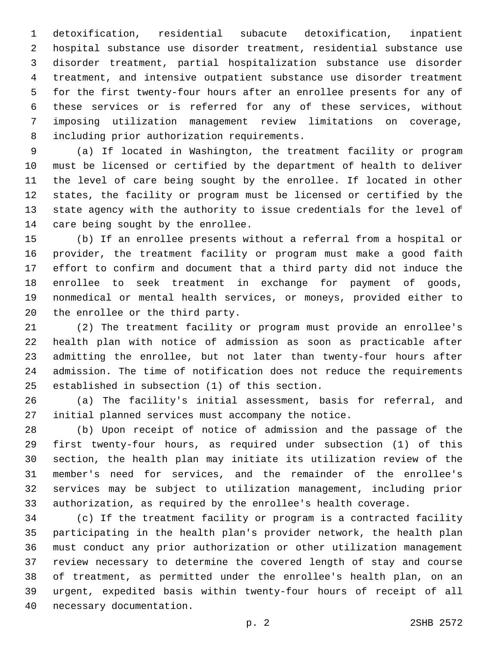detoxification, residential subacute detoxification, inpatient hospital substance use disorder treatment, residential substance use disorder treatment, partial hospitalization substance use disorder treatment, and intensive outpatient substance use disorder treatment for the first twenty-four hours after an enrollee presents for any of these services or is referred for any of these services, without imposing utilization management review limitations on coverage, 8 including prior authorization requirements.

 (a) If located in Washington, the treatment facility or program must be licensed or certified by the department of health to deliver the level of care being sought by the enrollee. If located in other states, the facility or program must be licensed or certified by the state agency with the authority to issue credentials for the level of 14 care being sought by the enrollee.

 (b) If an enrollee presents without a referral from a hospital or provider, the treatment facility or program must make a good faith effort to confirm and document that a third party did not induce the enrollee to seek treatment in exchange for payment of goods, nonmedical or mental health services, or moneys, provided either to 20 the enrollee or the third party.

 (2) The treatment facility or program must provide an enrollee's health plan with notice of admission as soon as practicable after admitting the enrollee, but not later than twenty-four hours after admission. The time of notification does not reduce the requirements 25 established in subsection (1) of this section.

 (a) The facility's initial assessment, basis for referral, and initial planned services must accompany the notice.

 (b) Upon receipt of notice of admission and the passage of the first twenty-four hours, as required under subsection (1) of this section, the health plan may initiate its utilization review of the member's need for services, and the remainder of the enrollee's services may be subject to utilization management, including prior authorization, as required by the enrollee's health coverage.

 (c) If the treatment facility or program is a contracted facility participating in the health plan's provider network, the health plan must conduct any prior authorization or other utilization management review necessary to determine the covered length of stay and course of treatment, as permitted under the enrollee's health plan, on an urgent, expedited basis within twenty-four hours of receipt of all 40 necessary documentation.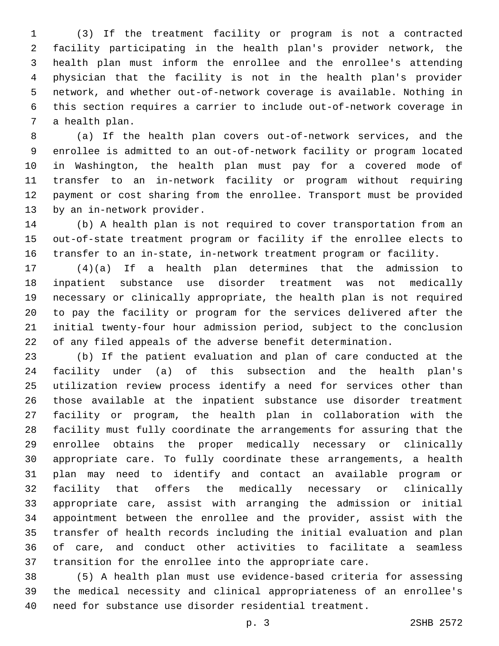(3) If the treatment facility or program is not a contracted facility participating in the health plan's provider network, the health plan must inform the enrollee and the enrollee's attending physician that the facility is not in the health plan's provider network, and whether out-of-network coverage is available. Nothing in this section requires a carrier to include out-of-network coverage in 7 a health plan.

 (a) If the health plan covers out-of-network services, and the enrollee is admitted to an out-of-network facility or program located in Washington, the health plan must pay for a covered mode of transfer to an in-network facility or program without requiring payment or cost sharing from the enrollee. Transport must be provided 13 by an in-network provider.

 (b) A health plan is not required to cover transportation from an out-of-state treatment program or facility if the enrollee elects to transfer to an in-state, in-network treatment program or facility.

 (4)(a) If a health plan determines that the admission to inpatient substance use disorder treatment was not medically necessary or clinically appropriate, the health plan is not required to pay the facility or program for the services delivered after the initial twenty-four hour admission period, subject to the conclusion of any filed appeals of the adverse benefit determination.

 (b) If the patient evaluation and plan of care conducted at the facility under (a) of this subsection and the health plan's utilization review process identify a need for services other than those available at the inpatient substance use disorder treatment facility or program, the health plan in collaboration with the facility must fully coordinate the arrangements for assuring that the enrollee obtains the proper medically necessary or clinically appropriate care. To fully coordinate these arrangements, a health plan may need to identify and contact an available program or facility that offers the medically necessary or clinically appropriate care, assist with arranging the admission or initial appointment between the enrollee and the provider, assist with the transfer of health records including the initial evaluation and plan of care, and conduct other activities to facilitate a seamless transition for the enrollee into the appropriate care.

 (5) A health plan must use evidence-based criteria for assessing the medical necessity and clinical appropriateness of an enrollee's need for substance use disorder residential treatment.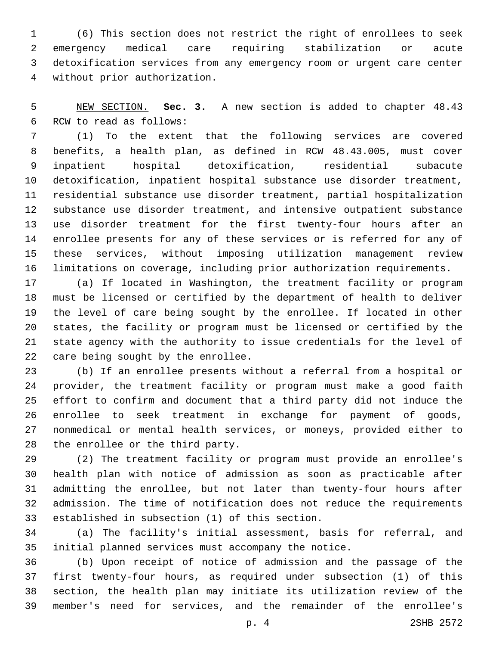(6) This section does not restrict the right of enrollees to seek emergency medical care requiring stabilization or acute detoxification services from any emergency room or urgent care center without prior authorization.4

 NEW SECTION. **Sec. 3.** A new section is added to chapter 48.43 6 RCW to read as follows:

 (1) To the extent that the following services are covered benefits, a health plan, as defined in RCW 48.43.005, must cover inpatient hospital detoxification, residential subacute detoxification, inpatient hospital substance use disorder treatment, residential substance use disorder treatment, partial hospitalization substance use disorder treatment, and intensive outpatient substance use disorder treatment for the first twenty-four hours after an enrollee presents for any of these services or is referred for any of these services, without imposing utilization management review limitations on coverage, including prior authorization requirements.

 (a) If located in Washington, the treatment facility or program must be licensed or certified by the department of health to deliver the level of care being sought by the enrollee. If located in other states, the facility or program must be licensed or certified by the state agency with the authority to issue credentials for the level of 22 care being sought by the enrollee.

 (b) If an enrollee presents without a referral from a hospital or provider, the treatment facility or program must make a good faith effort to confirm and document that a third party did not induce the enrollee to seek treatment in exchange for payment of goods, nonmedical or mental health services, or moneys, provided either to 28 the enrollee or the third party.

 (2) The treatment facility or program must provide an enrollee's health plan with notice of admission as soon as practicable after admitting the enrollee, but not later than twenty-four hours after admission. The time of notification does not reduce the requirements 33 established in subsection (1) of this section.

 (a) The facility's initial assessment, basis for referral, and initial planned services must accompany the notice.

 (b) Upon receipt of notice of admission and the passage of the first twenty-four hours, as required under subsection (1) of this section, the health plan may initiate its utilization review of the member's need for services, and the remainder of the enrollee's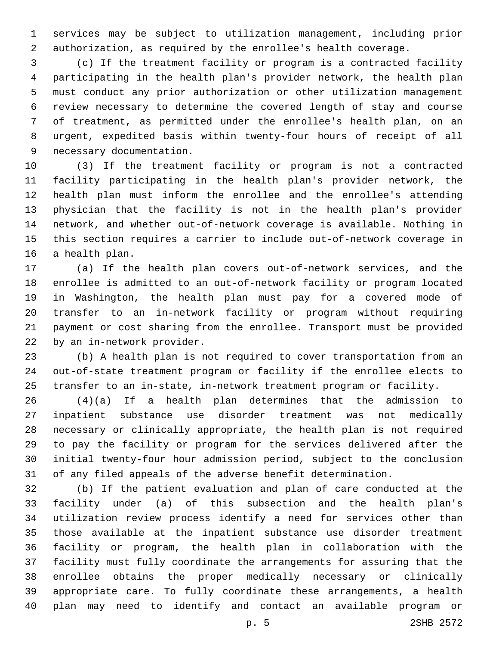services may be subject to utilization management, including prior authorization, as required by the enrollee's health coverage.

 (c) If the treatment facility or program is a contracted facility participating in the health plan's provider network, the health plan must conduct any prior authorization or other utilization management review necessary to determine the covered length of stay and course of treatment, as permitted under the enrollee's health plan, on an urgent, expedited basis within twenty-four hours of receipt of all 9 necessary documentation.

 (3) If the treatment facility or program is not a contracted facility participating in the health plan's provider network, the health plan must inform the enrollee and the enrollee's attending physician that the facility is not in the health plan's provider network, and whether out-of-network coverage is available. Nothing in this section requires a carrier to include out-of-network coverage in 16 a health plan.

 (a) If the health plan covers out-of-network services, and the enrollee is admitted to an out-of-network facility or program located in Washington, the health plan must pay for a covered mode of transfer to an in-network facility or program without requiring payment or cost sharing from the enrollee. Transport must be provided 22 by an in-network provider.

 (b) A health plan is not required to cover transportation from an out-of-state treatment program or facility if the enrollee elects to transfer to an in-state, in-network treatment program or facility.

 (4)(a) If a health plan determines that the admission to inpatient substance use disorder treatment was not medically necessary or clinically appropriate, the health plan is not required to pay the facility or program for the services delivered after the initial twenty-four hour admission period, subject to the conclusion of any filed appeals of the adverse benefit determination.

 (b) If the patient evaluation and plan of care conducted at the facility under (a) of this subsection and the health plan's utilization review process identify a need for services other than those available at the inpatient substance use disorder treatment facility or program, the health plan in collaboration with the facility must fully coordinate the arrangements for assuring that the enrollee obtains the proper medically necessary or clinically appropriate care. To fully coordinate these arrangements, a health plan may need to identify and contact an available program or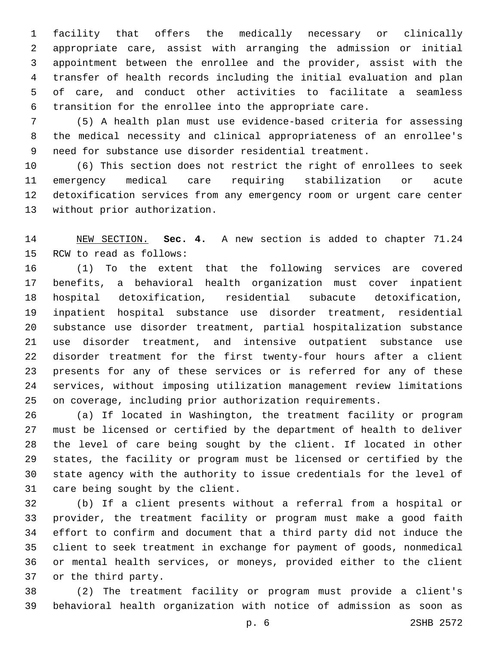facility that offers the medically necessary or clinically appropriate care, assist with arranging the admission or initial appointment between the enrollee and the provider, assist with the transfer of health records including the initial evaluation and plan of care, and conduct other activities to facilitate a seamless transition for the enrollee into the appropriate care.

 (5) A health plan must use evidence-based criteria for assessing the medical necessity and clinical appropriateness of an enrollee's need for substance use disorder residential treatment.

 (6) This section does not restrict the right of enrollees to seek emergency medical care requiring stabilization or acute detoxification services from any emergency room or urgent care center 13 without prior authorization.

 NEW SECTION. **Sec. 4.** A new section is added to chapter 71.24 15 RCW to read as follows:

 (1) To the extent that the following services are covered benefits, a behavioral health organization must cover inpatient hospital detoxification, residential subacute detoxification, inpatient hospital substance use disorder treatment, residential substance use disorder treatment, partial hospitalization substance use disorder treatment, and intensive outpatient substance use disorder treatment for the first twenty-four hours after a client presents for any of these services or is referred for any of these services, without imposing utilization management review limitations on coverage, including prior authorization requirements.

 (a) If located in Washington, the treatment facility or program must be licensed or certified by the department of health to deliver the level of care being sought by the client. If located in other states, the facility or program must be licensed or certified by the state agency with the authority to issue credentials for the level of 31 care being sought by the client.

 (b) If a client presents without a referral from a hospital or provider, the treatment facility or program must make a good faith effort to confirm and document that a third party did not induce the client to seek treatment in exchange for payment of goods, nonmedical or mental health services, or moneys, provided either to the client 37 or the third party.

 (2) The treatment facility or program must provide a client's behavioral health organization with notice of admission as soon as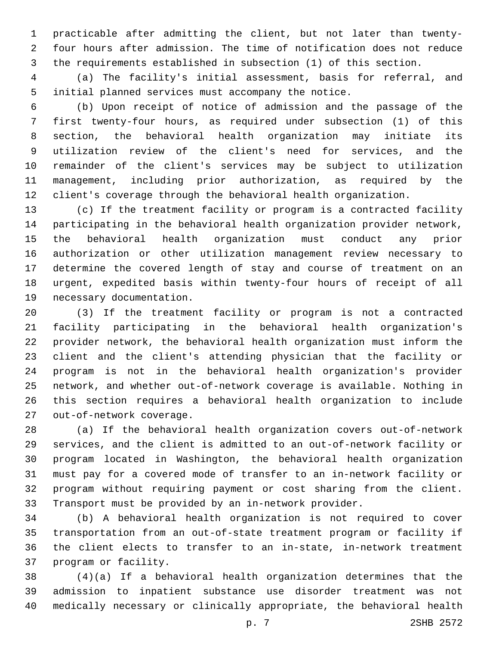practicable after admitting the client, but not later than twenty- four hours after admission. The time of notification does not reduce the requirements established in subsection (1) of this section.

 (a) The facility's initial assessment, basis for referral, and initial planned services must accompany the notice.

 (b) Upon receipt of notice of admission and the passage of the first twenty-four hours, as required under subsection (1) of this section, the behavioral health organization may initiate its utilization review of the client's need for services, and the remainder of the client's services may be subject to utilization management, including prior authorization, as required by the client's coverage through the behavioral health organization.

 (c) If the treatment facility or program is a contracted facility participating in the behavioral health organization provider network, the behavioral health organization must conduct any prior authorization or other utilization management review necessary to determine the covered length of stay and course of treatment on an urgent, expedited basis within twenty-four hours of receipt of all 19 necessary documentation.

 (3) If the treatment facility or program is not a contracted facility participating in the behavioral health organization's provider network, the behavioral health organization must inform the client and the client's attending physician that the facility or program is not in the behavioral health organization's provider network, and whether out-of-network coverage is available. Nothing in this section requires a behavioral health organization to include 27 out-of-network coverage.

 (a) If the behavioral health organization covers out-of-network services, and the client is admitted to an out-of-network facility or program located in Washington, the behavioral health organization must pay for a covered mode of transfer to an in-network facility or program without requiring payment or cost sharing from the client. Transport must be provided by an in-network provider.

 (b) A behavioral health organization is not required to cover transportation from an out-of-state treatment program or facility if the client elects to transfer to an in-state, in-network treatment 37 program or facility.

 (4)(a) If a behavioral health organization determines that the admission to inpatient substance use disorder treatment was not medically necessary or clinically appropriate, the behavioral health